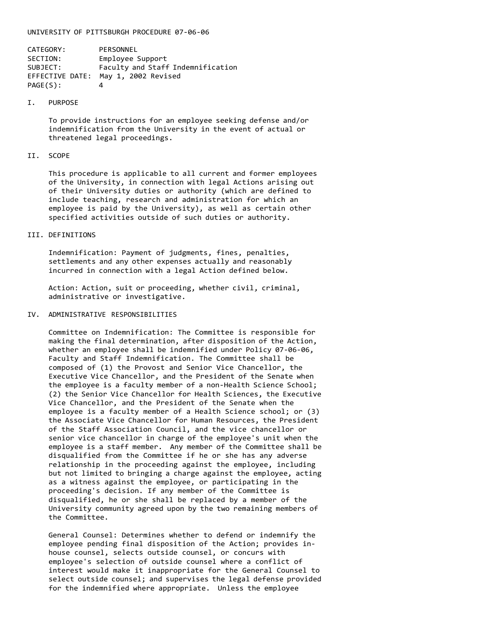#### UNIVERSITY OF PITTSBURGH PROCEDURE 07-06-06

| CATEGORY:       | PERSONNEL                         |
|-----------------|-----------------------------------|
| SECTION:        | Employee Support                  |
| SUBJECT:        | Faculty and Staff Indemnification |
| EFFECTIVE DATE: | May 1, 2002 Revised               |
| PAGE(S):        | 4                                 |

#### I. PURPOSE

To provide instructions for an employee seeking defense and/or indemnification from the University in the event of actual or threatened legal proceedings.

### II. SCOPE

This procedure is applicable to all current and former employees of the University, in connection with legal Actions arising out of their University duties or authority (which are defined to include teaching, research and administration for which an employee is paid by the University), as well as certain other specified activities outside of such duties or authority.

# III. DEFINITIONS

Indemnification: Payment of judgments, fines, penalties, settlements and any other expenses actually and reasonably incurred in connection with a legal Action defined below.

Action: Action, suit or proceeding, whether civil, criminal, administrative or investigative.

## IV. ADMINISTRATIVE RESPONSIBILITIES

Committee on Indemnification: The Committee is responsible for making the final determination, after disposition of the Action, whether an employee shall be indemnified under Policy 07-06-06, Faculty and Staff Indemnification. The Committee shall be composed of (1) the Provost and Senior Vice Chancellor, the Executive Vice Chancellor, and the President of the Senate when the employee is a faculty member of a non-Health Science School; (2) the Senior Vice Chancellor for Health Sciences, the Executive Vice Chancellor, and the President of the Senate when the employee is a faculty member of a Health Science school; or (3) the Associate Vice Chancellor for Human Resources, the President of the Staff Association Council, and the vice chancellor or senior vice chancellor in charge of the employee's unit when the employee is a staff member. Any member of the Committee shall be disqualified from the Committee if he or she has any adverse relationship in the proceeding against the employee, including but not limited to bringing a charge against the employee, acting as a witness against the employee, or participating in the proceeding's decision. If any member of the Committee is disqualified, he or she shall be replaced by a member of the University community agreed upon by the two remaining members of the Committee.

General Counsel: Determines whether to defend or indemnify the employee pending final disposition of the Action; provides inhouse counsel, selects outside counsel, or concurs with employee's selection of outside counsel where a conflict of interest would make it inappropriate for the General Counsel to select outside counsel; and supervises the legal defense provided for the indemnified where appropriate. Unless the employee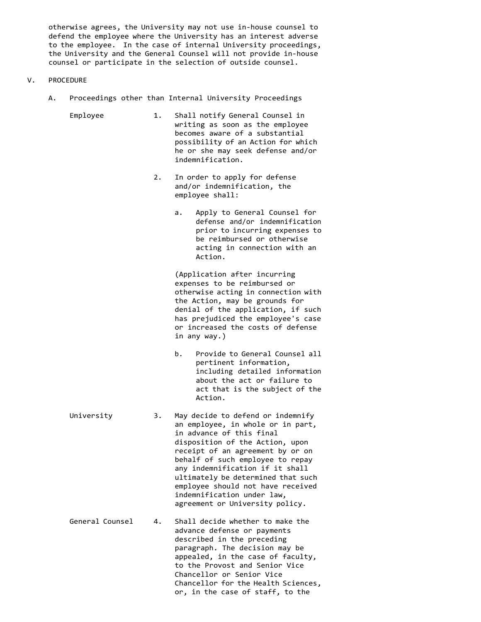otherwise agrees, the University may not use in-house counsel to defend the employee where the University has an interest adverse to the employee. In the case of internal University proceedings, the University and the General Counsel will not provide in-house counsel or participate in the selection of outside counsel.

- V. PROCEDURE
	- A. Proceedings other than Internal University Proceedings
		- Employee 1. Shall notify General Counsel in writing as soon as the employee becomes aware of a substantial possibility of an Action for which he or she may seek defense and/or indemnification.
			- 2. In order to apply for defense and/or indemnification, the employee shall:
				- a. Apply to General Counsel for defense and/or indemnification prior to incurring expenses to be reimbursed or otherwise acting in connection with an Action.

(Application after incurring expenses to be reimbursed or otherwise acting in connection with the Action, may be grounds for denial of the application, if such has prejudiced the employee's case or increased the costs of defense in any way.)

- b. Provide to General Counsel all pertinent information, including detailed information about the act or failure to act that is the subject of the Action.
- University 3. May decide to defend or indemnify an employee, in whole or in part, in advance of this final disposition of the Action, upon receipt of an agreement by or on behalf of such employee to repay any indemnification if it shall ultimately be determined that such employee should not have received indemnification under law, agreement or University policy.
- General Counsel 4. Shall decide whether to make the advance defense or payments described in the preceding paragraph. The decision may be appealed, in the case of faculty, to the Provost and Senior Vice Chancellor or Senior Vice Chancellor for the Health Sciences, or, in the case of staff, to the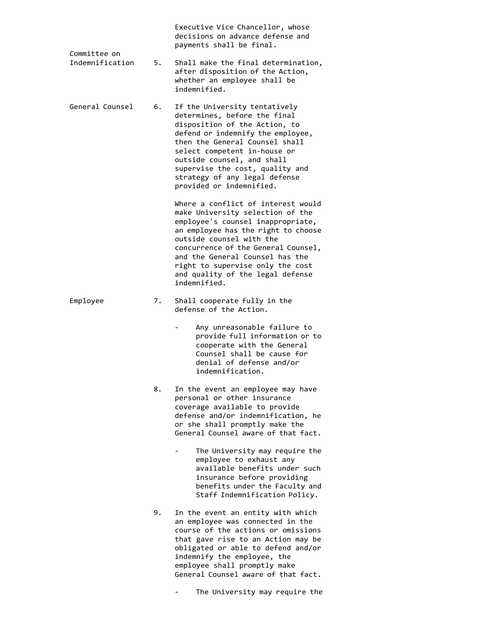| Committee on    |    | Executive Vice Chancellor, whose<br>decisions on advance defense and<br>payments shall be final.                                                                                                                                                                                                                                                 |
|-----------------|----|--------------------------------------------------------------------------------------------------------------------------------------------------------------------------------------------------------------------------------------------------------------------------------------------------------------------------------------------------|
| Indemnification | 5. | Shall make the final determination,<br>after disposition of the Action,<br>whether an employee shall be<br>indemnified.                                                                                                                                                                                                                          |
| General Counsel | 6. | If the University tentatively<br>determines, before the final<br>disposition of the Action, to<br>defend or indemnify the employee,<br>then the General Counsel shall<br>select competent in-house or<br>outside counsel, and shall<br>supervise the cost, quality and<br>strategy of any legal defense<br>provided or indemnified.              |
|                 |    | Where a conflict of interest would<br>make University selection of the<br>employee's counsel inappropriate,<br>an employee has the right to choose<br>outside counsel with the<br>concurrence of the General Counsel,<br>and the General Counsel has the<br>right to supervise only the cost<br>and quality of the legal defense<br>indemnified. |
| Employee        | 7. | Shall cooperate fully in the<br>defense of the Action.                                                                                                                                                                                                                                                                                           |
|                 |    | Any unreasonable failure to<br>provide full information or to<br>cooperate with the General<br>Counsel shall be cause for<br>denial of defense and/or<br>indemnification.                                                                                                                                                                        |
|                 | 8. | In the event an employee may have<br>personal or other insurance<br>coverage available to provide<br>defense and/or indemnification, he<br>or she shall promptly make the<br>General Counsel aware of that fact.<br>The University may require the                                                                                               |
|                 |    | employee to exhaust any<br>available benefits under such<br>insurance before providing<br>benefits under the Faculty and<br>Staff Indemnification Policy.                                                                                                                                                                                        |
|                 | 9. | In the event an entity with which<br>an employee was connected in the<br>course of the actions or omissions<br>that gave rise to an Action may be<br>obligated or able to defend and/or<br>indemnify the employee, the<br>employee shall promptly make<br>General Counsel aware of that fact.                                                    |

- The University may require the